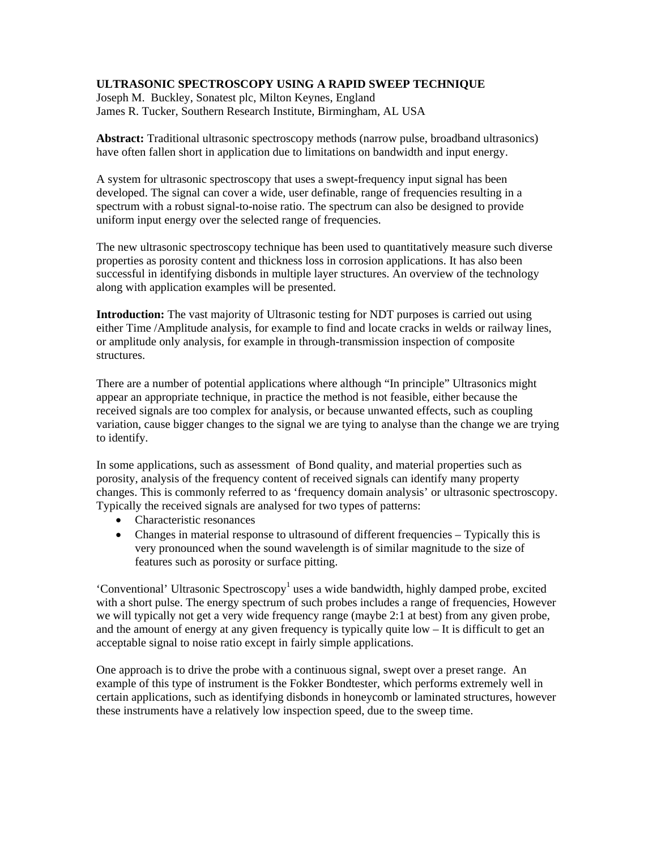# **ULTRASONIC SPECTROSCOPY USING A RAPID SWEEP TECHNIQUE**

Joseph M. Buckley, Sonatest plc, Milton Keynes, England James R. Tucker, Southern Research Institute, Birmingham, AL USA

**Abstract:** Traditional ultrasonic spectroscopy methods (narrow pulse, broadband ultrasonics) have often fallen short in application due to limitations on bandwidth and input energy.

A system for ultrasonic spectroscopy that uses a swept-frequency input signal has been developed. The signal can cover a wide, user definable, range of frequencies resulting in a spectrum with a robust signal-to-noise ratio. The spectrum can also be designed to provide uniform input energy over the selected range of frequencies.

The new ultrasonic spectroscopy technique has been used to quantitatively measure such diverse properties as porosity content and thickness loss in corrosion applications. It has also been successful in identifying disbonds in multiple layer structures. An overview of the technology along with application examples will be presented.

**Introduction:** The vast majority of Ultrasonic testing for NDT purposes is carried out using either Time /Amplitude analysis, for example to find and locate cracks in welds or railway lines, or amplitude only analysis, for example in through-transmission inspection of composite structures.

There are a number of potential applications where although "In principle" Ultrasonics might appear an appropriate technique, in practice the method is not feasible, either because the received signals are too complex for analysis, or because unwanted effects, such as coupling variation, cause bigger changes to the signal we are tying to analyse than the change we are trying to identify.

In some applications, such as assessment of Bond quality, and material properties such as porosity, analysis of the frequency content of received signals can identify many property changes. This is commonly referred to as 'frequency domain analysis' or ultrasonic spectroscopy. Typically the received signals are analysed for two types of patterns:

- Characteristic resonances
- Changes in material response to ultrasound of different frequencies Typically this is very pronounced when the sound wavelength is of similar magnitude to the size of features such as porosity or surface pitting.

'Conventional' Ultrasonic Spectroscopy<sup>1</sup> uses a wide bandwidth, highly damped probe, excited with a short pulse. The energy spectrum of such probes includes a range of frequencies, However we will typically not get a very wide frequency range (maybe 2:1 at best) from any given probe, and the amount of energy at any given frequency is typically quite low – It is difficult to get an acceptable signal to noise ratio except in fairly simple applications.

One approach is to drive the probe with a continuous signal, swept over a preset range. An example of this type of instrument is the Fokker Bondtester, which performs extremely well in certain applications, such as identifying disbonds in honeycomb or laminated structures, however these instruments have a relatively low inspection speed, due to the sweep time.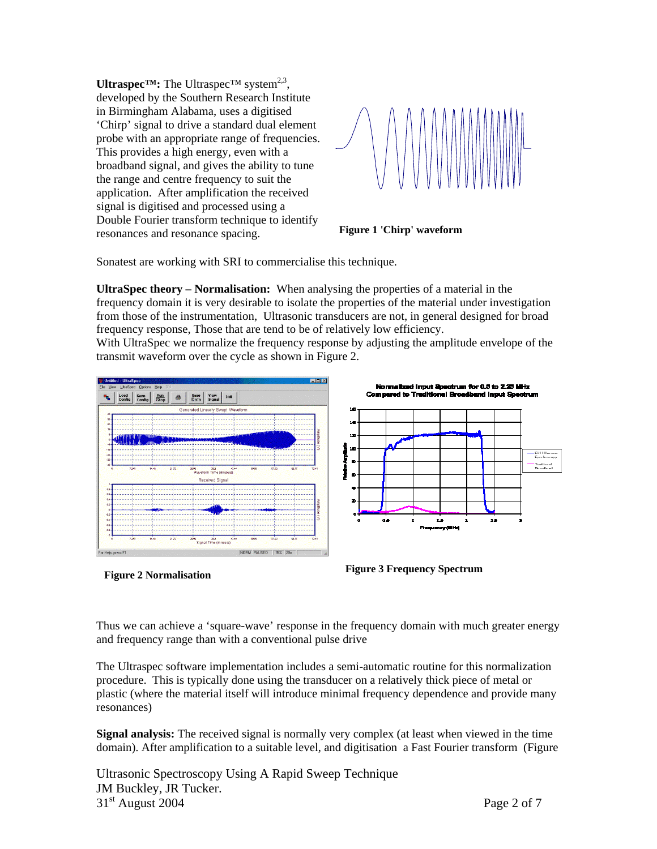**Ultraspec<sup>TM</sup>:** The Ultraspec<sup>TM</sup> system<sup>2,3</sup>, developed by the Southern Research Institute in Birmingham Alabama, uses a digitised 'Chirp' signal to drive a standard dual element probe with an appropriate range of frequencies. This provides a high energy, even with a broadband signal, and gives the ability to tune the range and centre frequency to suit the application. After amplification the received signal is digitised and processed using a Double Fourier transform technique to identify resonances and resonance spacing. **Figure 1 'Chirp' waveform** 



Sonatest are working with SRI to commercialise this technique.

**UltraSpec theory – Normalisation:** When analysing the properties of a material in the frequency domain it is very desirable to isolate the properties of the material under investigation from those of the instrumentation, Ultrasonic transducers are not, in general designed for broad frequency response, Those that are tend to be of relatively low efficiency.

With UltraSpec we normalize the frequency response by adjusting the amplitude envelope of the transmit waveform over the cycle as shown in Figure 2.





Thus we can achieve a 'square-wave' response in the frequency domain with much greater energy and frequency range than with a conventional pulse drive

The Ultraspec software implementation includes a semi-automatic routine for this normalization procedure. This is typically done using the transducer on a relatively thick piece of metal or plastic (where the material itself will introduce minimal frequency dependence and provide many resonances)

**Signal analysis:** The received signal is normally very complex (at least when viewed in the time domain). After amplification to a suitable level, and digitisation a Fast Fourier transform (Figure

Ultrasonic Spectroscopy Using A Rapid Sweep Technique JM Buckley, JR Tucker.  $31<sup>st</sup>$  August 2004 Page 2 of 7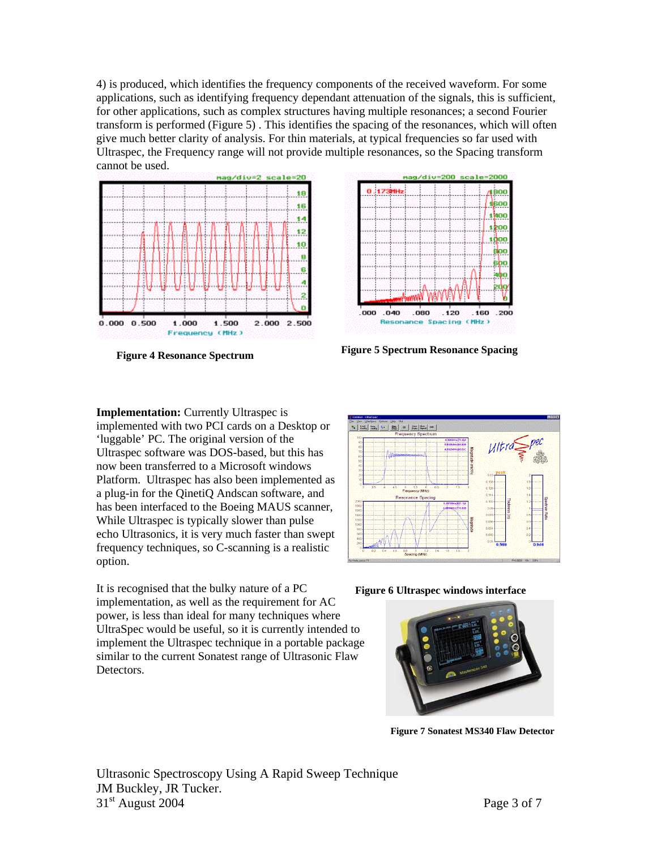4) is produced, which identifies the frequency components of the received waveform. For some applications, such as identifying frequency dependant attenuation of the signals, this is sufficient, for other applications, such as complex structures having multiple resonances; a second Fourier transform is performed (Figure 5) . This identifies the spacing of the resonances, which will often give much better clarity of analysis. For thin materials, at typical frequencies so far used with Ultraspec, the Frequency range will not provide multiple resonances, so the Spacing transform cannot be used.





**Figure 5 Spectrum Resonance Spacing Figure 4 Resonance Spectrum** 

**Implementation:** Currently Ultraspec is implemented with two PCI cards on a Desktop or 'luggable' PC. The original version of the Ultraspec software was DOS-based, but this has now been transferred to a Microsoft windows Platform. Ultraspec has also been implemented as a plug-in for the QinetiQ Andscan software, and has been interfaced to the Boeing MAUS scanner, While Ultraspec is typically slower than pulse echo Ultrasonics, it is very much faster than swept frequency techniques, so C-scanning is a realistic option.

It is recognised that the bulky nature of a PC **Figure 6 Ultraspec windows interface** implementation, as well as the requirement for AC power, is less than ideal for many techniques where UltraSpec would be useful, so it is currently intended to implement the Ultraspec technique in a portable package similar to the current Sonatest range of Ultrasonic Flaw Detectors.





**Figure 7 Sonatest MS340 Flaw Detector**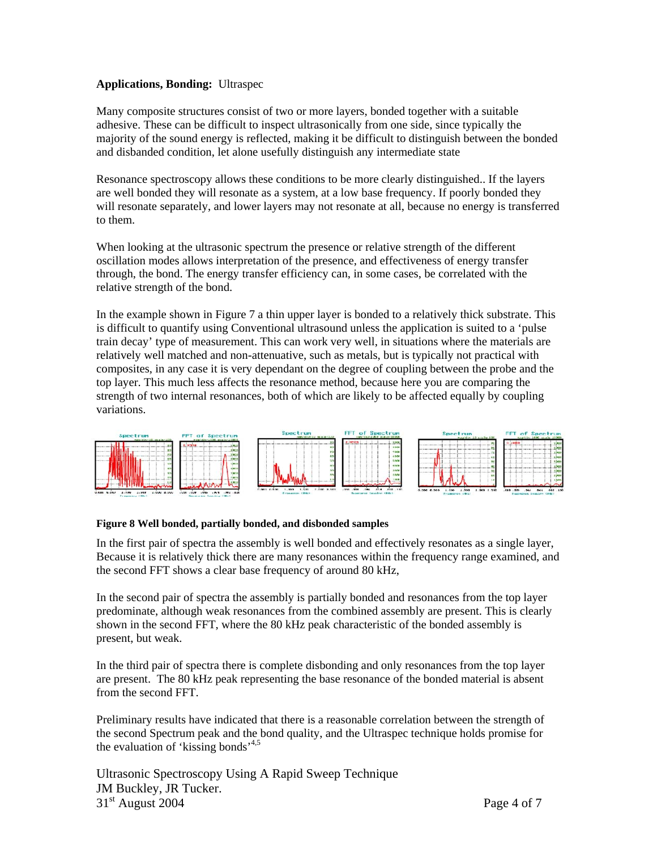# **Applications, Bonding:** Ultraspec

Many composite structures consist of two or more layers, bonded together with a suitable adhesive. These can be difficult to inspect ultrasonically from one side, since typically the majority of the sound energy is reflected, making it be difficult to distinguish between the bonded and disbanded condition, let alone usefully distinguish any intermediate state

Resonance spectroscopy allows these conditions to be more clearly distinguished.. If the layers are well bonded they will resonate as a system, at a low base frequency. If poorly bonded they will resonate separately, and lower layers may not resonate at all, because no energy is transferred to them.

When looking at the ultrasonic spectrum the presence or relative strength of the different oscillation modes allows interpretation of the presence, and effectiveness of energy transfer through, the bond. The energy transfer efficiency can, in some cases, be correlated with the relative strength of the bond.

In the example shown in Figure 7 a thin upper layer is bonded to a relatively thick substrate. This is difficult to quantify using Conventional ultrasound unless the application is suited to a 'pulse train decay' type of measurement. This can work very well, in situations where the materials are relatively well matched and non-attenuative, such as metals, but is typically not practical with composites, in any case it is very dependant on the degree of coupling between the probe and the top layer. This much less affects the resonance method, because here you are comparing the strength of two internal resonances, both of which are likely to be affected equally by coupling variations.



### **Figure 8 Well bonded, partially bonded, and disbonded samples**

In the first pair of spectra the assembly is well bonded and effectively resonates as a single layer, Because it is relatively thick there are many resonances within the frequency range examined, and the second FFT shows a clear base frequency of around 80 kHz,

In the second pair of spectra the assembly is partially bonded and resonances from the top layer predominate, although weak resonances from the combined assembly are present. This is clearly shown in the second FFT, where the 80 kHz peak characteristic of the bonded assembly is present, but weak.

In the third pair of spectra there is complete disbonding and only resonances from the top layer are present. The 80 kHz peak representing the base resonance of the bonded material is absent from the second FFT.

Preliminary results have indicated that there is a reasonable correlation between the strength of the second Spectrum peak and the bond quality, and the Ultraspec technique holds promise for the evaluation of 'kissing bonds'<sup>4,5</sup>

Ultrasonic Spectroscopy Using A Rapid Sweep Technique JM Buckley, JR Tucker.  $31<sup>st</sup>$  August 2004 Page 4 of 7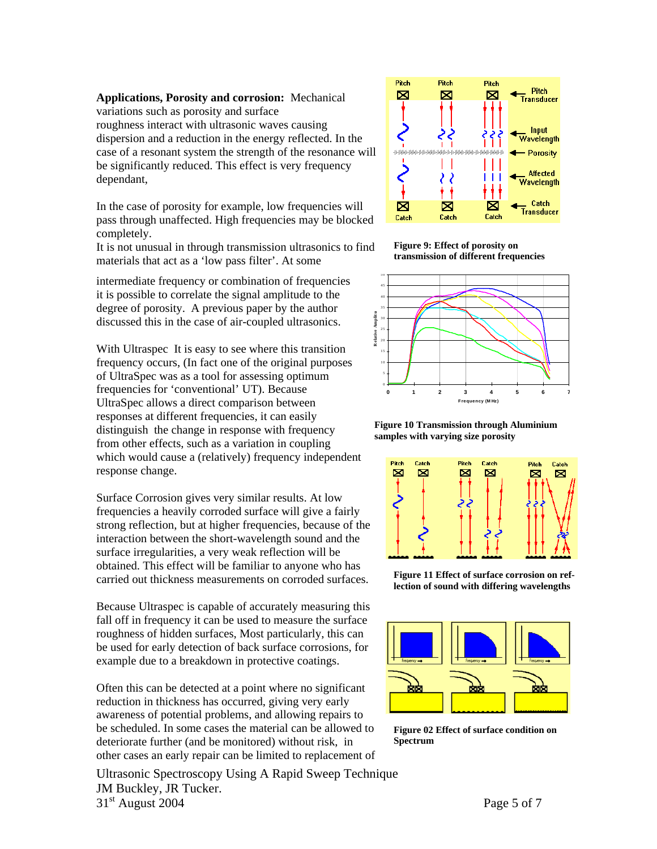# **Applications, Porosity and corrosion:** Mechanical

variations such as porosity and surface roughness interact with ultrasonic waves causing dispersion and a reduction in the energy reflected. In the case of a resonant system the strength of the resonance w ill be significantly reduced. This effect is very frequency dependant,

In the case of porosity for example, low frequencies will pass through unaffected. High frequencies may be blocked completely.

It is not unusual in through transmission ultrasonics to find materials that act as a 'low pass filter'. At some

intermediate frequency or combination of frequencies it is possible to correlate the signal amplitude to the degree of porosity. A previous paper by the author discussed this in the case of air-coupled ultrasonics.

which would cause a (relatively) frequency independent With Ultraspec It is easy to see where this transition frequency occurs, (In fact one of the original purposes of UltraSpec was as a tool for assessing optimum frequencies for 'conventional' UT). Because UltraSpec allows a direct comparison between responses at different frequencies, it can easily distinguish the change in response with frequency from other effects, such as a variation in coupling response change.

Surface Corrosion gives very similar results. At low frequencies a heavily corroded surface will give a fairly strong reflection, but at higher frequencies, because of the interaction between the short-wavelength sound and the surface irregularities, a very weak reflection will be obtained. This effect will be familiar to anyone who has arried out thickness measurements on corroded surfaces. **Figure 11 Effect of surface corrosion on ref-lection of sound with differing wavelengths** <sup>c</sup>

Because Ultraspec is capable of accurately measuring this fall off in frequency it can be used to measure the surface roughness of hidden surfaces, Most particularly, this can be used for early detection of back surface corrosions, for example due to a breakdown in protective coatings.

other cases an early repair can be limited to replacement of Often this can be detected at a point where no significant reduction in thickness has occurred, giving very early awareness of potential problems, and allowing repairs to be scheduled. In some cases the material can be allowed to deteriorate further (and be monitored) without risk, in

Ultrasonic Spectroscopy Using A Rapid Sweep Technique JM Buckley, JR Tucker.  $31<sup>st</sup>$  August 2004 Page 5 of 7



**Figure 9: Effect of porosity on transmission of different frequencies**



**Figure 10 Transmission through Aluminium samples with varying size porosity**





**Figure 02 Effect of surface condition on Spectrum**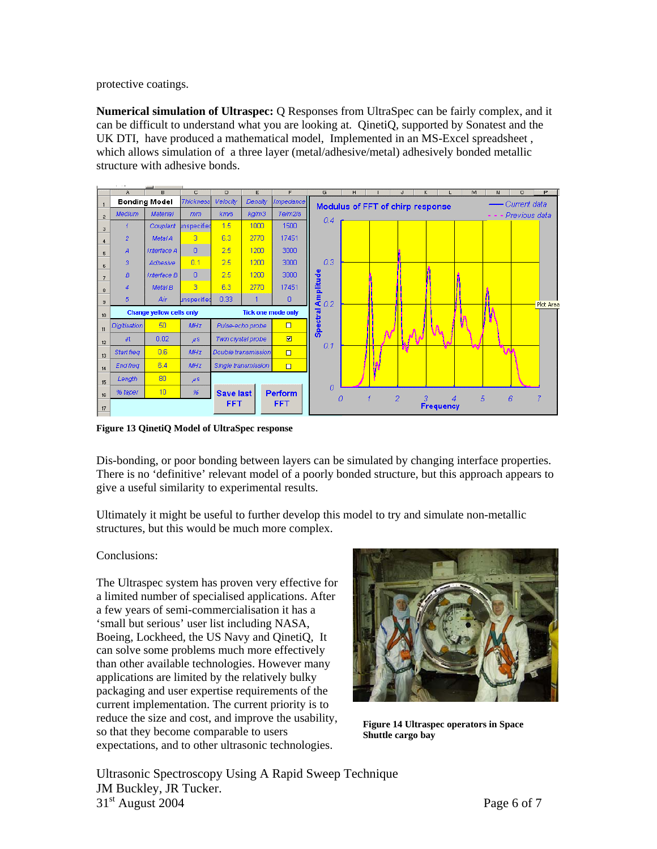protective coatings.

**Numerical simulation of Ultraspec:** Q Responses from UltraSpec can be fairly complex, and it can be difficult to understand what you are looking at. QinetiQ, supported by Sonatest and the UK DTI, have produced a mathematical model, Implemented in an MS-Excel spreadsheet , which allows simulation of a three layer (metal/adhesive/metal) adhesively bonded metallic structure with adhesive bonds.



**Figure 13 QinetiQ Model of UltraSpec response**

Dis-bonding, or poor bonding between layers can be simulated by changing interface properties. There is no 'definitive' relevant model of a poorly bonded structure, but this approach appears to give a useful similarity to experimental results.

Ultimately it might be useful to further develop this model to try and simulate non-metallic structures, but this would be much more complex.

### Conclusions:

The Ultraspec system has proven very effective for a limited number of specialised applications. After a few years of semi-commercialisation it has a 'small but serious' user list including NASA, Boeing, Lockheed, the US Navy and QinetiQ, It can solve some problems much more effectively than other available technologies. However many applications are limited by the relatively bulky packaging and user expertise requirements of the current implementation. The current priority is to reduce the size and cost, and improve the usability, so that they become comparable to users expectations, and to other ultrasonic technologies.



**Figure 14 Ultraspec operators in Space Shuttle cargo bay**

Ultrasonic Spectroscopy Using A Rapid Sweep Technique JM Buckley, JR Tucker.  $31<sup>st</sup>$  August 2004 Page 6 of 7